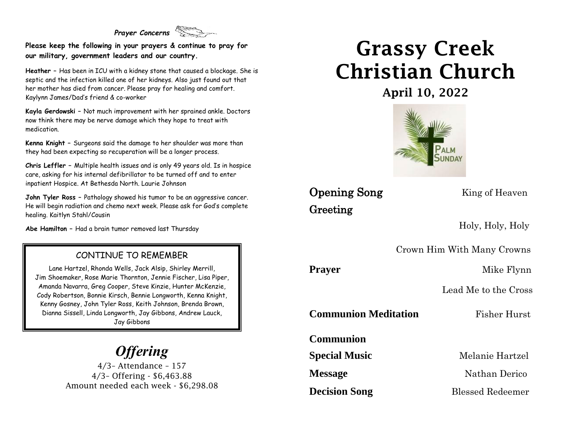#### *Prayer Concerns*

**Please keep the following in your prayers & continue to pray for our military, government leaders and our country.**

**Heather –** Has been in ICU with a kidney stone that caused a blockage. She is septic and the infection killed one of her kidneys. Also just found out that her mother has died from cancer. Please pray for healing and comfort. Kaylynn James/Dad's friend & co-worker

**Kayla Gerdowski –** Not much improvement with her sprained ankle. Doctors now think there may be nerve damage which they hope to treat with medication.

**Kenna Knight –** Surgeons said the damage to her shoulder was more than they had been expecting so recuperation will be a longer process.

**Chris Leffler –** Multiple health issues and is only 49 years old. Is in hospice care, asking for his internal defibrillator to be turned off and to enter inpatient Hospice. At Bethesda North. Laurie Johnson

**John Tyler Ross –** Pathology showed his tumor to be an aggressive cancer. He will begin radiation and chemo next week. Please ask for God's complete healing. Kaitlyn Stahl/Cousin

**Abe Hamilton –** Had a brain tumor removed last Thursday

#### CONTINUE TO REMEMBER

Lane Hartzel, Rhonda Wells, Jack Alsip, Shirley Merrill, Jim Shoemaker, Rose Marie Thornton, Jennie Fischer, Lisa Piper, Amanda Navarra, Greg Cooper, Steve Kinzie, Hunter McKenzie, Cody Robertson, Bonnie Kirsch, Bennie Longworth, Kenna Knight, Kenny Gosney, John Tyler Ross, Keith Johnson, Brenda Brown, Dianna Sissell, Linda Longworth, Jay Gibbons, Andrew Lauck, Jay Gibbons

# *Offering*

4/3– Attendance – 157 4/3– Offering - \$6,463.88 Amount needed each week - \$6,298.08

# Grassy Creek Christian Church

April 10, 2022



### **Opening Song** King of Heaven Greeting

Holy, Holy, Holy

Crown Him With Many Crowns

Prayer Mike Flynn

Lead Me to the Cross

**Communion Meditation** Fisher Hurst

**Communion** 

**Special Music** Melanie Hartzel

**Message** Nathan Derico

**Decision Song** Blessed Redeemer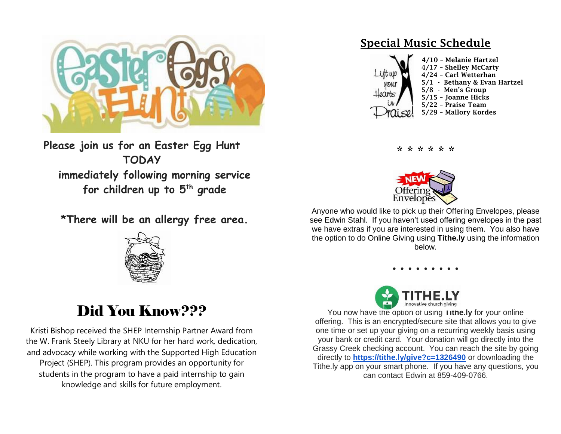

**Please join us for an Easter Egg Hunt TODAY immediately following morning service for children up to 5th grade**

**\*There will be an allergy free area.**



## Did You Know???

Kristi Bishop received the SHEP Internship Partner Award from the W. Frank Steely Library at NKU for her hard work, dedication, and advocacy while working with the Supported High Education Project (SHEP). This program provides an opportunity for students in the program to have a paid internship to gain knowledge and skills for future employment.

### Special Music Schedule



\* \* \* \* \* \*



Anyone who would like to pick up their Offering Envelopes, please see Edwin Stahl. If you haven't used offering envelopes in the past we have extras if you are interested in using them. You also have the option to do Online Giving using **Tithe.ly** using the information below.

**. . . . . . . . .**



You now have the option of using **Tithe.ly** for your online offering. This is an encrypted/secure site that allows you to give one time or set up your giving on a recurring weekly basis using your bank or credit card. Your donation will go directly into the Grassy Creek checking account. You can reach the site by going directly to **[https://tithe.ly/give?c=1326490](https://urldefense.com/v3/__https:/tithe.ly/give?c=1326490__;!!ACWV5N9M2RV99hQ!fWolAwnURXg2iROxSWvcIF9cZNTvXBN10Xxg-oD4m_-op1xOs7aJzAsdX3UqPDE$)** or downloading the Tithe.ly app on your smart phone. If you have any questions, you can contact Edwin at 859-409-0766.